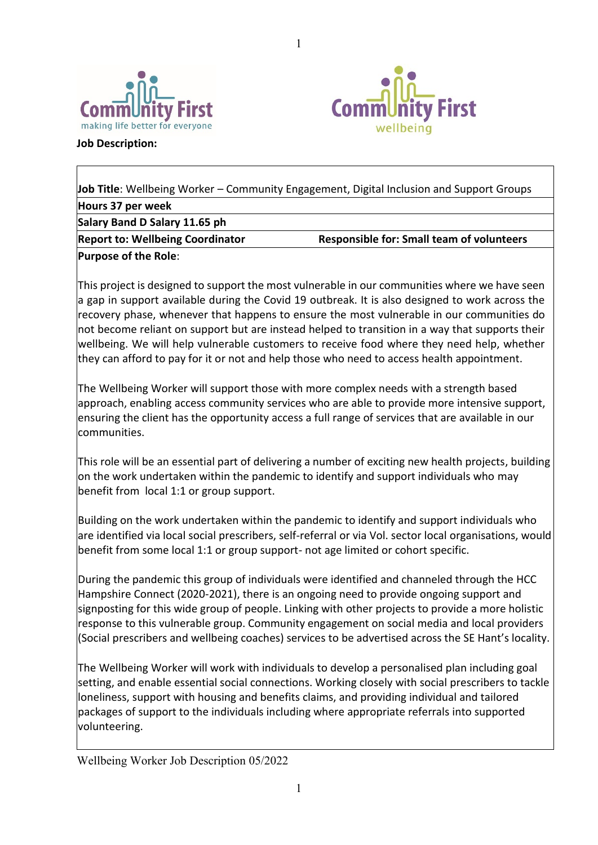



**Job Description:**

**Job Title**: Wellbeing Worker – Community Engagement, Digital Inclusion and Support Groups **Hours 37 per week Salary Band D Salary 11.65 ph Report to: Wellbeing Coordinator Francisc Responsible for: Small team of volunteers Purpose of the Role**:

1

This project is designed to support the most vulnerable in our communities where we have seen a gap in support available during the Covid 19 outbreak. It is also designed to work across the recovery phase, whenever that happens to ensure the most vulnerable in our communities do not become reliant on support but are instead helped to transition in a way that supports their wellbeing. We will help vulnerable customers to receive food where they need help, whether they can afford to pay for it or not and help those who need to access health appointment.

The Wellbeing Worker will support those with more complex needs with a strength based approach, enabling access community services who are able to provide more intensive support, ensuring the client has the opportunity access a full range of services that are available in our communities.

This role will be an essential part of delivering a number of exciting new health projects, building on the work undertaken within the pandemic to identify and support individuals who may benefit from local 1:1 or group support.

Building on the work undertaken within the pandemic to identify and support individuals who are identified via local social prescribers, self-referral or via Vol. sector local organisations, would benefit from some local 1:1 or group support- not age limited or cohort specific.

During the pandemic this group of individuals were identified and channeled through the HCC Hampshire Connect (2020-2021), there is an ongoing need to provide ongoing support and signposting for this wide group of people. Linking with other projects to provide a more holistic response to this vulnerable group. Community engagement on social media and local providers (Social prescribers and wellbeing coaches) services to be advertised across the SE Hant's locality.

The Wellbeing Worker will work with individuals to develop a personalised plan including goal setting, and enable essential social connections. Working closely with social prescribers to tackle loneliness, support with housing and benefits claims, and providing individual and tailored packages of support to the individuals including where appropriate referrals into supported volunteering.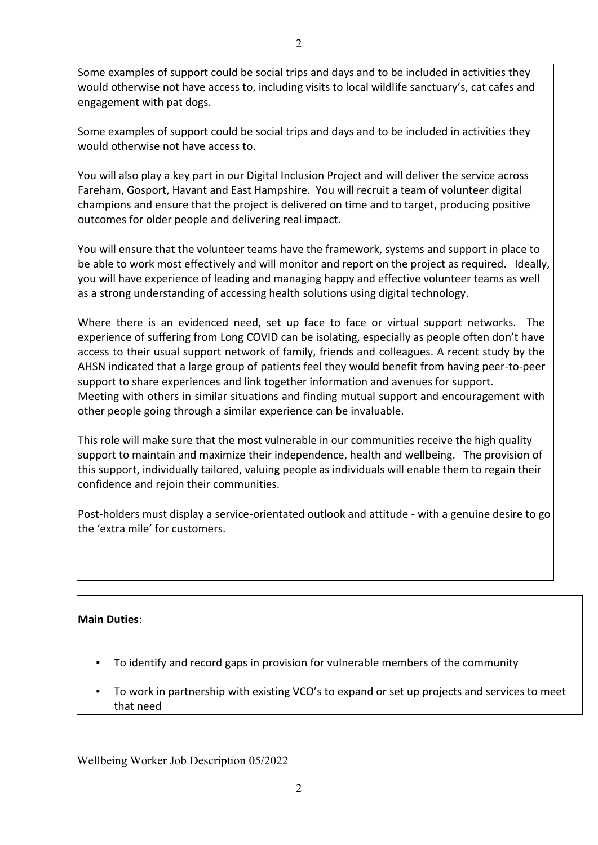Some examples of support could be social trips and days and to be included in activities they would otherwise not have access to, including visits to local wildlife sanctuary's, cat cafes and engagement with pat dogs.

Some examples of support could be social trips and days and to be included in activities they would otherwise not have access to.

You will also play a key part in our Digital Inclusion Project and will deliver the service across Fareham, Gosport, Havant and East Hampshire. You will recruit a team of volunteer digital champions and ensure that the project is delivered on time and to target, producing positive outcomes for older people and delivering real impact.

You will ensure that the volunteer teams have the framework, systems and support in place to be able to work most effectively and will monitor and report on the project as required. Ideally, you will have experience of leading and managing happy and effective volunteer teams as well as a strong understanding of accessing health solutions using digital technology.

Where there is an evidenced need, set up face to face or virtual support networks. The experience of suffering from Long COVID can be isolating, especially as people often don't have access to their usual support network of family, friends and colleagues. A recent study by the AHSN indicated that a large group of patients feel they would benefit from having peer-to-peer support to share experiences and link together information and avenues for support. Meeting with others in similar situations and finding mutual support and encouragement with other people going through a similar experience can be invaluable.

This role will make sure that the most vulnerable in our communities receive the high quality support to maintain and maximize their independence, health and wellbeing. The provision of this support, individually tailored, valuing people as individuals will enable them to regain their confidence and rejoin their communities.

Post-holders must display a service-orientated outlook and attitude - with a genuine desire to go the 'extra mile' for customers.

### **Main Duties**:

- To identify and record gaps in provision for vulnerable members of the community
- To work in partnership with existing VCO's to expand or set up projects and services to meet that need

Wellbeing Worker Job Description 05/2022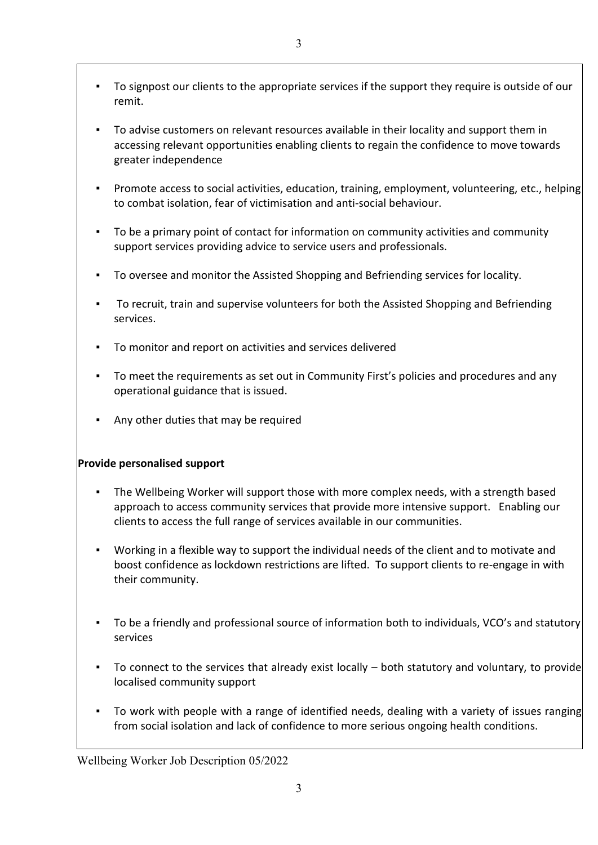- To signpost our clients to the appropriate services if the support they require is outside of our remit.
- To advise customers on relevant resources available in their locality and support them in accessing relevant opportunities enabling clients to regain the confidence to move towards greater independence
- Promote access to social activities, education, training, employment, volunteering, etc., helping to combat isolation, fear of victimisation and anti-social behaviour.
- To be a primary point of contact for information on community activities and community support services providing advice to service users and professionals.
- To oversee and monitor the Assisted Shopping and Befriending services for locality.
- To recruit, train and supervise volunteers for both the Assisted Shopping and Befriending services.
- To monitor and report on activities and services delivered
- To meet the requirements as set out in Community First's policies and procedures and any operational guidance that is issued.
- Any other duties that may be required

# **Provide personalised support**

- The Wellbeing Worker will support those with more complex needs, with a strength based approach to access community services that provide more intensive support. Enabling our clients to access the full range of services available in our communities.
- Working in a flexible way to support the individual needs of the client and to motivate and boost confidence as lockdown restrictions are lifted. To support clients to re-engage in with their community.
- To be a friendly and professional source of information both to individuals, VCO's and statutory services
- To connect to the services that already exist locally  $-$  both statutory and voluntary, to provide localised community support
- To work with people with a range of identified needs, dealing with a variety of issues ranging from social isolation and lack of confidence to more serious ongoing health conditions.

Wellbeing Worker Job Description 05/2022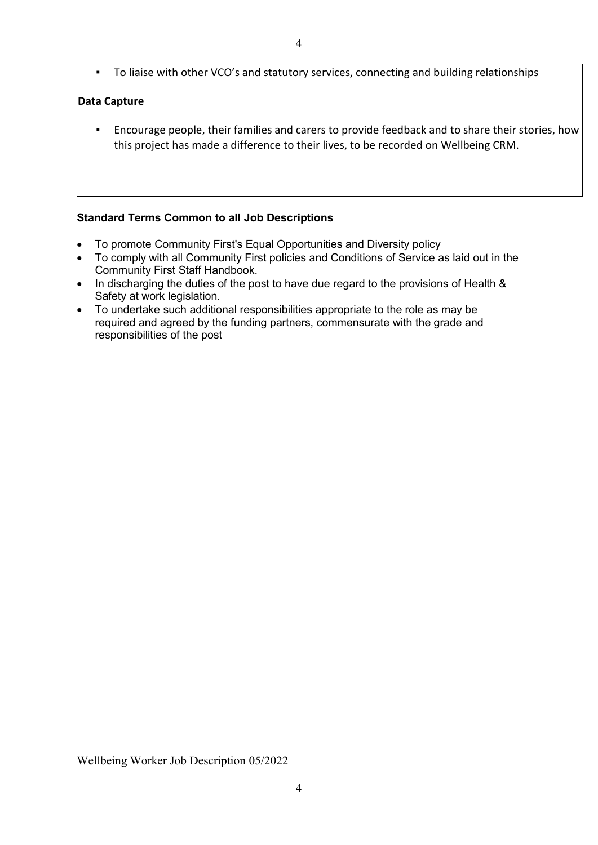To liaise with other VCO's and statutory services, connecting and building relationships

### **Data Capture**

▪ Encourage people, their families and carers to provide feedback and to share their stories, how this project has made a difference to their lives, to be recorded on Wellbeing CRM.

#### **Standard Terms Common to all Job Descriptions**

- To promote Community First's Equal Opportunities and Diversity policy
- To comply with all Community First policies and Conditions of Service as laid out in the Community First Staff Handbook.
- In discharging the duties of the post to have due regard to the provisions of Health & Safety at work legislation.
- To undertake such additional responsibilities appropriate to the role as may be required and agreed by the funding partners, commensurate with the grade and responsibilities of the post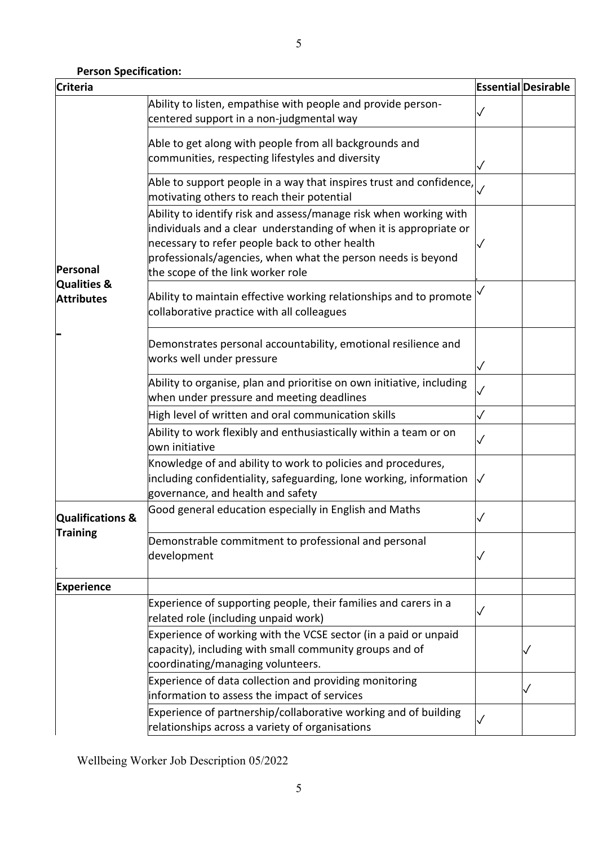## **Person Specification:**

| <b>Criteria</b>                                         |                                                                                                                                                                                                                                                                                                |              | <b>Essential Desirable</b> |
|---------------------------------------------------------|------------------------------------------------------------------------------------------------------------------------------------------------------------------------------------------------------------------------------------------------------------------------------------------------|--------------|----------------------------|
| Personal<br><b>Qualities &amp;</b><br><b>Attributes</b> | Ability to listen, empathise with people and provide person-<br>centered support in a non-judgmental way                                                                                                                                                                                       |              |                            |
|                                                         | Able to get along with people from all backgrounds and<br>communities, respecting lifestyles and diversity                                                                                                                                                                                     | ✓            |                            |
|                                                         | Able to support people in a way that inspires trust and confidence,<br>motivating others to reach their potential                                                                                                                                                                              |              |                            |
|                                                         | Ability to identify risk and assess/manage risk when working with<br>individuals and a clear understanding of when it is appropriate or<br>necessary to refer people back to other health<br>professionals/agencies, when what the person needs is beyond<br>the scope of the link worker role |              |                            |
|                                                         | Ability to maintain effective working relationships and to promote<br>collaborative practice with all colleagues                                                                                                                                                                               |              |                            |
|                                                         | Demonstrates personal accountability, emotional resilience and<br>works well under pressure                                                                                                                                                                                                    | ✓            |                            |
|                                                         | Ability to organise, plan and prioritise on own initiative, including<br>when under pressure and meeting deadlines                                                                                                                                                                             | $\checkmark$ |                            |
|                                                         | High level of written and oral communication skills                                                                                                                                                                                                                                            | ✓            |                            |
|                                                         | Ability to work flexibly and enthusiastically within a team or on<br>own initiative                                                                                                                                                                                                            |              |                            |
|                                                         | Knowledge of and ability to work to policies and procedures,<br>including confidentiality, safeguarding, lone working, information<br>governance, and health and safety                                                                                                                        | $\checkmark$ |                            |
| <b>Qualifications &amp;</b><br><b>Training</b>          | Good general education especially in English and Maths                                                                                                                                                                                                                                         |              |                            |
|                                                         | Demonstrable commitment to professional and personal<br>development                                                                                                                                                                                                                            | ✓            |                            |
| <b>Experience</b>                                       |                                                                                                                                                                                                                                                                                                |              |                            |
|                                                         | Experience of supporting people, their families and carers in a<br>related role (including unpaid work)                                                                                                                                                                                        |              |                            |
|                                                         | Experience of working with the VCSE sector (in a paid or unpaid<br>capacity), including with small community groups and of<br>coordinating/managing volunteers.                                                                                                                                |              |                            |
|                                                         | Experience of data collection and providing monitoring<br>information to assess the impact of services                                                                                                                                                                                         |              |                            |
|                                                         | Experience of partnership/collaborative working and of building<br>relationships across a variety of organisations                                                                                                                                                                             | S            |                            |

Wellbeing Worker Job Description 05/2022